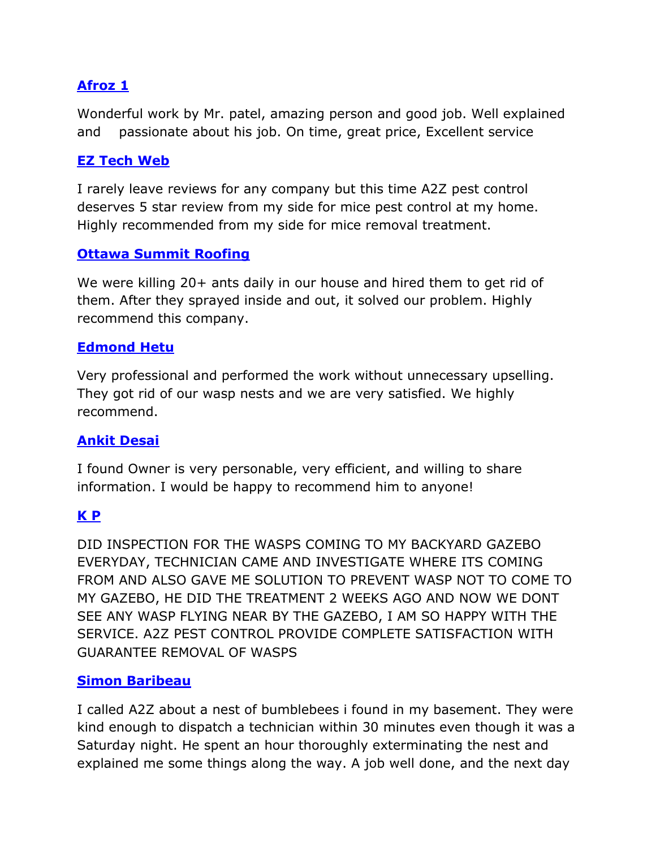# **[Afroz 1](https://www.google.com/maps/contrib/107329210501948129311/reviews/@45.3125689,-75.8936695,12z/data=!3m1!4b1!4m3!8m2!3m1!1e1)**

Wonderful work by Mr. patel, amazing person and good job. Well explained and passionate about his job. On time, great price, Excellent service

# **[EZ Tech Web](https://www.google.com/maps/contrib/111134550201429811322/reviews/@45.2902031,-75.916647,17z/data=!4m3!8m2!3m1!1e1)**

I rarely leave reviews for any company but this time A2Z pest control deserves 5 star review from my side for mice pest control at my home. Highly recommended from my side for mice removal treatment.

#### **Ottawa Summit Roofing**

We were killing 20+ ants daily in our house and hired them to get rid of them. After they sprayed inside and out, it solved our problem. Highly recommend this company.

# **[Edmond Hetu](https://www.google.com/maps/contrib/102314263555538609593/reviews/@44.4774714,-77.6466923,8z/data=!3m1!4b1!4m3!8m2!3m1!1e1)**

Very professional and performed the work without unnecessary upselling. They got rid of our wasp nests and we are very satisfied. We highly recommend.

# **[Ankit Desai](https://www.google.com/maps/contrib/113608246664881809026/reviews/@45.3128102,-75.822632,12z/data=!3m1!4b1!4m3!8m2!3m1!1e1)**

I found Owner is very personable, very efficient, and willing to share information. I would be happy to recommend him to anyone!

# **[K P](https://www.google.com/maps/contrib/113856783919055580766/reviews/@44.5640712,-77.5619275,8z/data=!3m1!4b1!4m3!8m2!3m1!1e1)**

DID INSPECTION FOR THE WASPS COMING TO MY BACKYARD GAZEBO EVERYDAY, TECHNICIAN CAME AND INVESTIGATE WHERE ITS COMING FROM AND ALSO GAVE ME SOLUTION TO PREVENT WASP NOT TO COME TO MY GAZEBO, HE DID THE TREATMENT 2 WEEKS AGO AND NOW WE DONT SEE ANY WASP FLYING NEAR BY THE GAZEBO, I AM SO HAPPY WITH THE SERVICE. A2Z PEST CONTROL PROVIDE COMPLETE SATISFACTION WITH GUARANTEE REMOVAL OF WASPS

#### **[Simon Baribeau](https://www.google.com/maps/contrib/112158161110695526804/reviews/@44.2376046,-78.6619547,7z/data=!3m1!4b1!4m3!8m2!3m1!1e1)**

I called A2Z about a nest of bumblebees i found in my basement. They were kind enough to dispatch a technician within 30 minutes even though it was a Saturday night. He spent an hour thoroughly exterminating the nest and explained me some things along the way. A job well done, and the next day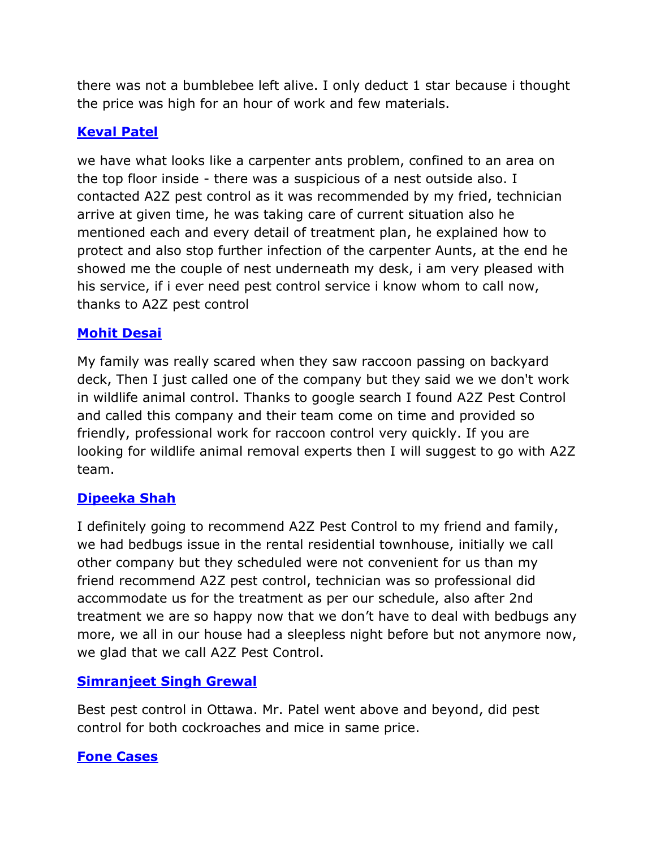there was not a bumblebee left alive. I only deduct 1 star because i thought the price was high for an hour of work and few materials.

# **[Keval Patel](https://www.google.com/maps/contrib/103807312242108465321/reviews/@45.357079,-75.6531232,11z/data=!3m1!4b1!4m3!8m2!3m1!1e1)**

we have what looks like a carpenter ants problem, confined to an area on the top floor inside - there was a suspicious of a nest outside also. I contacted A2Z pest control as it was recommended by my fried, technician arrive at given time, he was taking care of current situation also he mentioned each and every detail of treatment plan, he explained how to protect and also stop further infection of the carpenter Aunts, at the end he showed me the couple of nest underneath my desk, i am very pleased with his service, if i ever need pest control service i know whom to call now, thanks to A2Z pest control

#### **[Mohit Desai](https://www.google.com/maps/contrib/103214235231525901508/reviews/@45.2902031,-111.776022,3z/data=!4m3!8m2!3m1!1e1)**

My family was really scared when they saw raccoon passing on backyard deck, Then I just called one of the company but they said we we don't work in wildlife animal control. Thanks to google search I found A2Z Pest Control and called this company and their team come on time and provided so friendly, professional work for raccoon control very quickly. If you are looking for wildlife animal removal experts then I will suggest to go with A2Z team.

# **[Dipeeka Shah](https://www.google.com/maps/contrib/115118403395838484157/reviews/@33.2323718,-3.388992,3z/data=!3m1!4b1!4m3!8m2!3m1!1e1)**

I definitely going to recommend A2Z Pest Control to my friend and family, we had bedbugs issue in the rental residential townhouse, initially we call other company but they scheduled were not convenient for us than my friend recommend A2Z pest control, technician was so professional did accommodate us for the treatment as per our schedule, also after 2nd treatment we are so happy now that we don't have to deal with bedbugs any more, we all in our house had a sleepless night before but not anymore now, we glad that we call A2Z Pest Control.

# **[Simranjeet Singh Grewal](https://www.google.com/maps/contrib/114548863845796011108/reviews/@44.5953787,-77.5003766,8z/data=!3m1!4b1!4m3!8m2!3m1!1e1)**

Best pest control in Ottawa. Mr. Patel went above and beyond, did pest control for both cockroaches and mice in same price.

#### **[Fone Cases](https://www.google.com/maps/contrib/113730010087660373203/reviews/@45.2902031,-75.916647,17z/data=!3m1!4b1!4m3!8m2!3m1!1e1)**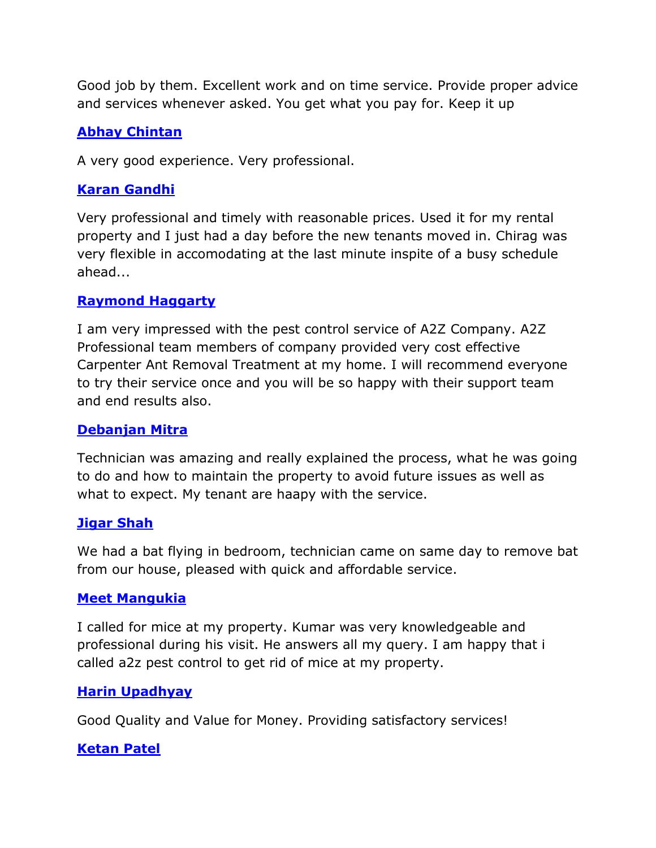Good job by them. Excellent work and on time service. Provide proper advice and services whenever asked. You get what you pay for. Keep it up

# **[Abhay Chintan](https://www.google.com/maps/contrib/109455370769192765345/reviews/@45.3463533,-75.7704914,12z/data=!3m1!4b1!4m3!8m2!3m1!1e1)**

A very good experience. Very professional.

#### **[Karan Gandhi](https://www.google.com/maps/contrib/100200047659465647928/reviews/@45.3396075,-75.8006681,12z/data=!3m1!4b1!4m3!8m2!3m1!1e1)**

Very professional and timely with reasonable prices. Used it for my rental property and I just had a day before the new tenants moved in. Chirag was very flexible in accomodating at the last minute inspite of a busy schedule ahead...

#### **[Raymond Haggarty](https://www.google.com/maps/contrib/105520821945697796578/reviews/@32.5766224,-0.3019074,3z/data=!3m1!4b1!4m3!8m2!3m1!1e1)**

I am very impressed with the pest control service of A2Z Company. A2Z Professional team members of company provided very cost effective Carpenter Ant Removal Treatment at my home. I will recommend everyone to try their service once and you will be so happy with their support team and end results also.

#### **[Debanjan Mitra](https://www.google.com/maps/contrib/115159738696750495300/reviews/@29.1230467,4.1197996,3z/data=!3m1!4b1!4m3!8m2!3m1!1e1)**

Technician was amazing and really explained the process, what he was going to do and how to maintain the property to avoid future issues as well as what to expect. My tenant are haapy with the service.

#### **[Jigar Shah](https://www.google.com/maps/contrib/109901771519809894428/reviews?_ga=2.61138028.1180405571.1653276039-1126724399.1650897864)**

We had a bat flying in bedroom, technician came on same day to remove bat from our house, pleased with quick and affordable service.

#### **[Meet Mangukia](https://www.google.com/maps/contrib/103935411720951555736/reviews/@45.2902031,-75.916647,17z/data=!3m1!4b1!4m3!8m2!3m1!1e1)**

I called for mice at my property. Kumar was very knowledgeable and professional during his visit. He answers all my query. I am happy that i called a2z pest control to get rid of mice at my property.

# **[Harin Upadhyay](https://www.google.com/maps/contrib/107782208219341256429/reviews/@33.8013229,-1.3820089,3z/data=!3m1!4b1!4m3!8m2!3m1!1e1)**

Good Quality and Value for Money. Providing satisfactory services!

# **[Ketan Patel](https://www.google.com/maps/contrib/101589768232738422667/reviews/@45.3531137,-75.7629884,12z/data=!3m1!4b1!4m3!8m2!3m1!1e1)**